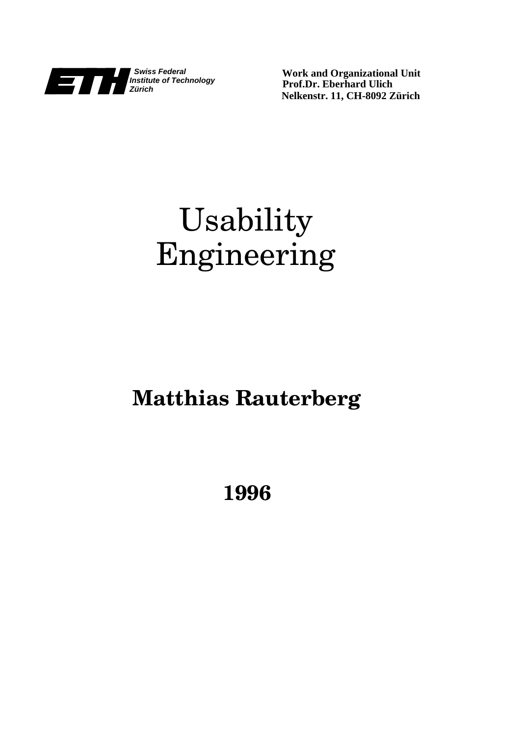

**Work and Organizational Unit Prof.Dr. Eberhard Ulich Nelkenstr. 11, CH-8092 Zürich**

# Usability Engineering

## **Matthias Rauterberg**

**1996**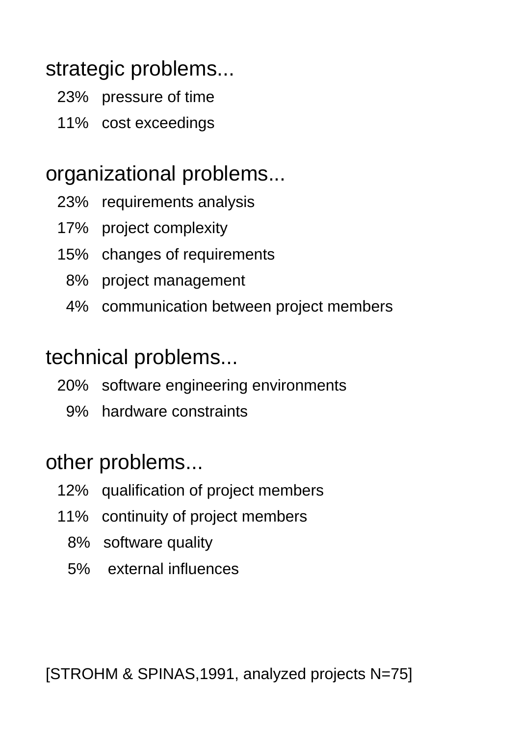#### strategic problems...

- 23% pressure of time
- 11% cost exceedings

#### organizational problems...

- 23% requirements analysis
- 17% project complexity
- 15% changes of requirements
	- 8% project management
	- 4% communication between project members

#### technical problems...

- 20% software engineering environments
	- 9% hardware constraints

#### other problems...

- 12% qualification of project members
- 11% continuity of project members
	- 8% software quality
	- 5% external influences

[STROHM & SPINAS,1991, analyzed projects N=75]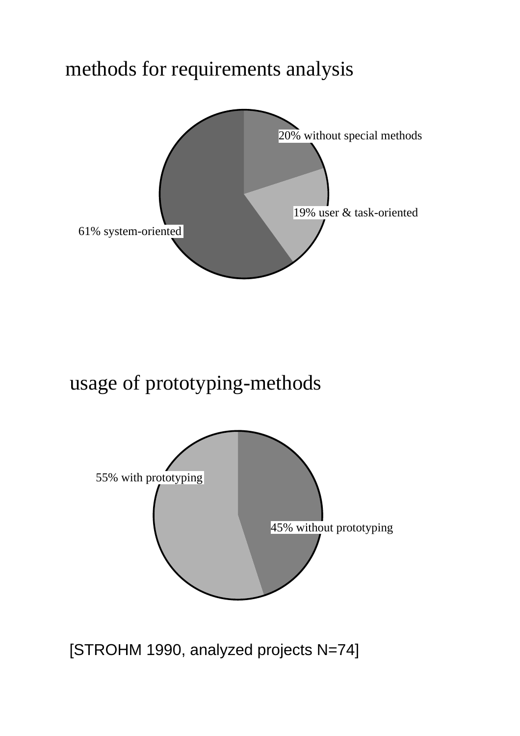#### methods for requirements analysis



usage of prototyping-methods



[STROHM 1990, analyzed projects N=74]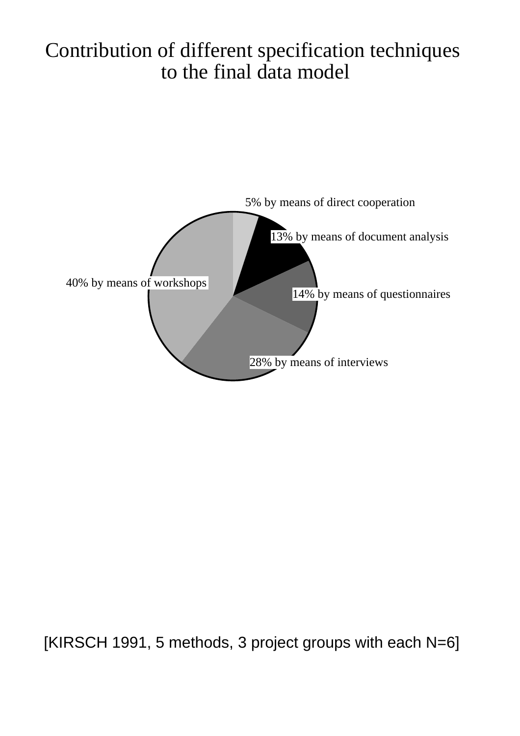#### Contribution of different specification techniques to the final data model



[KIRSCH 1991, 5 methods, 3 project groups with each N=6]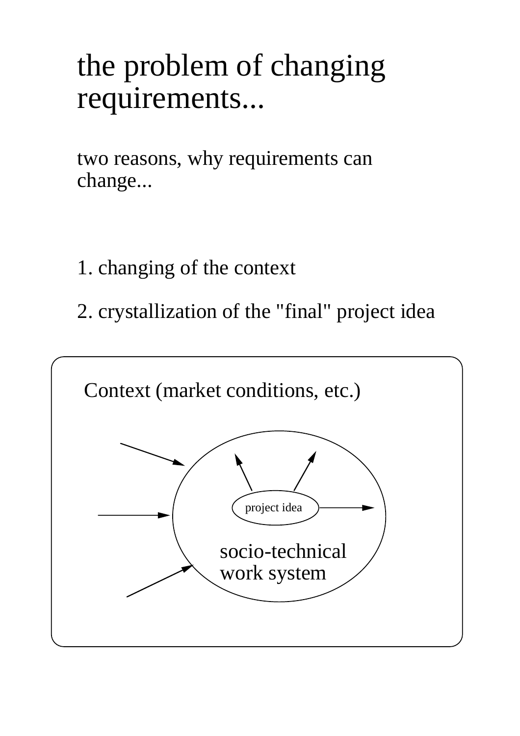# the problem of changing requirements...

two reasons, why requirements can change...

- 1. changing of the context
- 2. crystallization of the "final" project idea

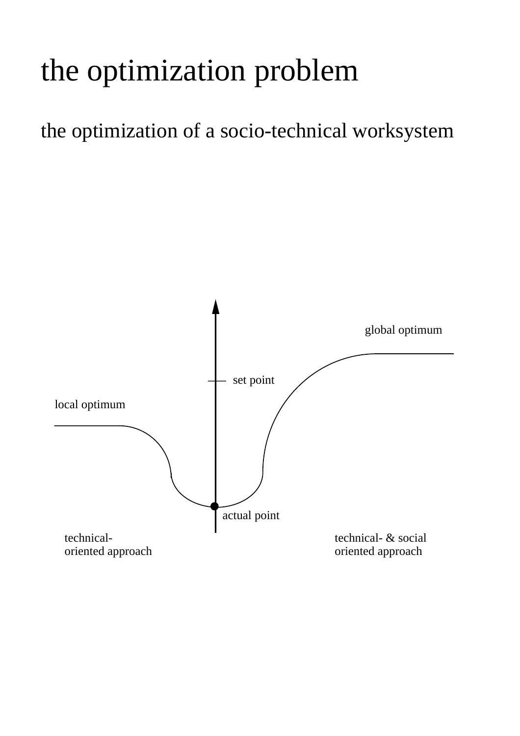# the optimization problem

the optimization of a socio-technical worksystem

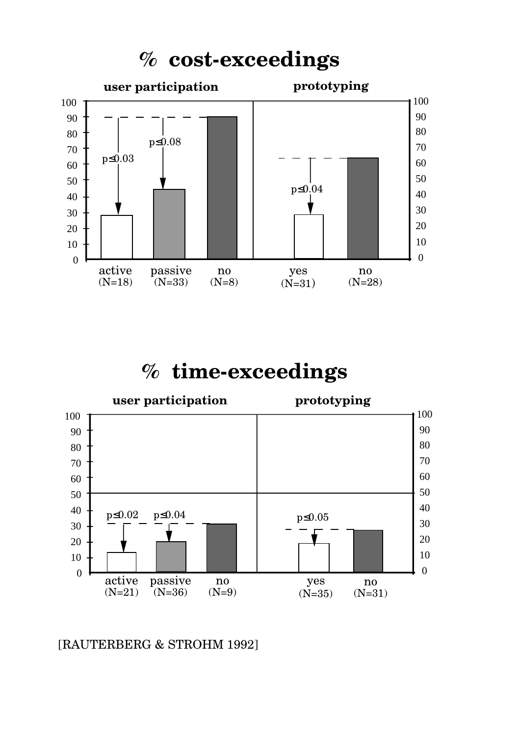

#### **% time-exceedings**



[RAUTERBERG & STROHM 1992]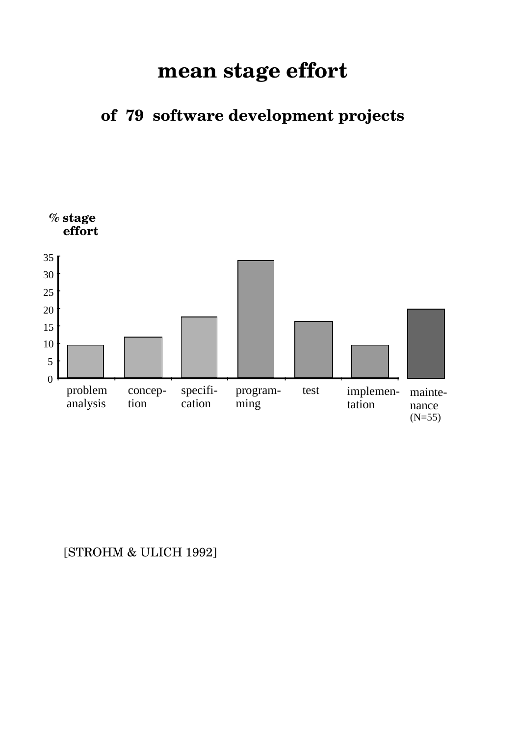#### **mean stage effort**

**of 79 software development projects**



#### [STROHM & ULICH 1992]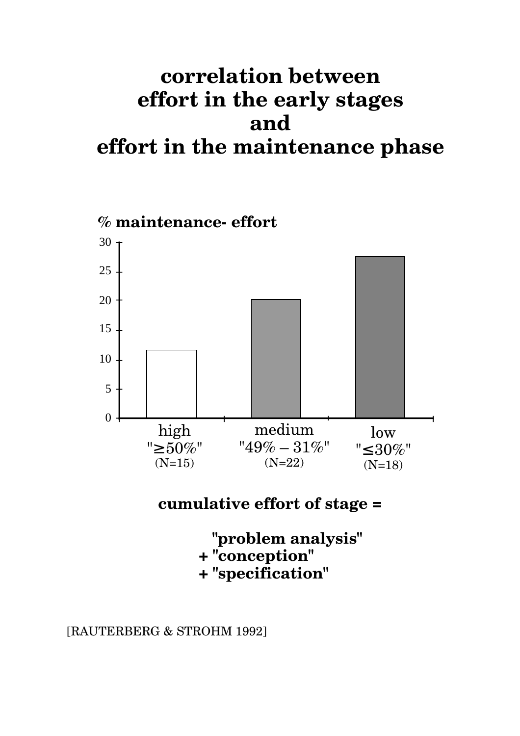### **correlation between effort in the early stages and effort in the maintenance phase**



**cumulative effort of stage =**

 **"problem analysis" + "conception" + "specification"**

[RAUTERBERG & STROHM 1992]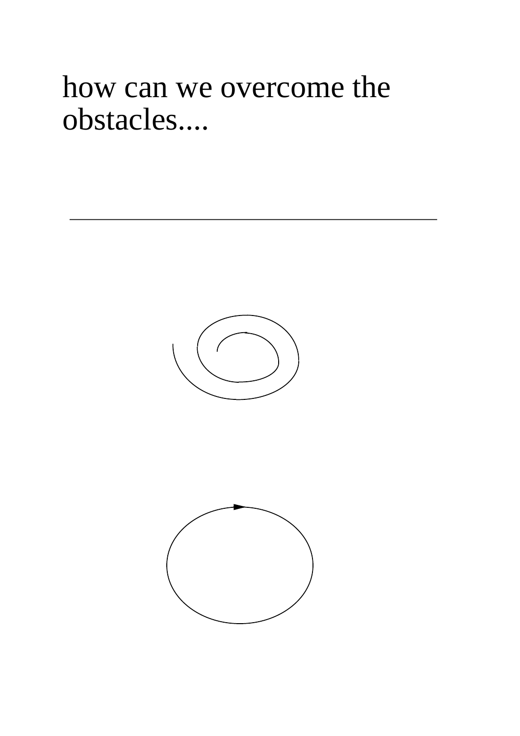# how can we overcome the obstacles....



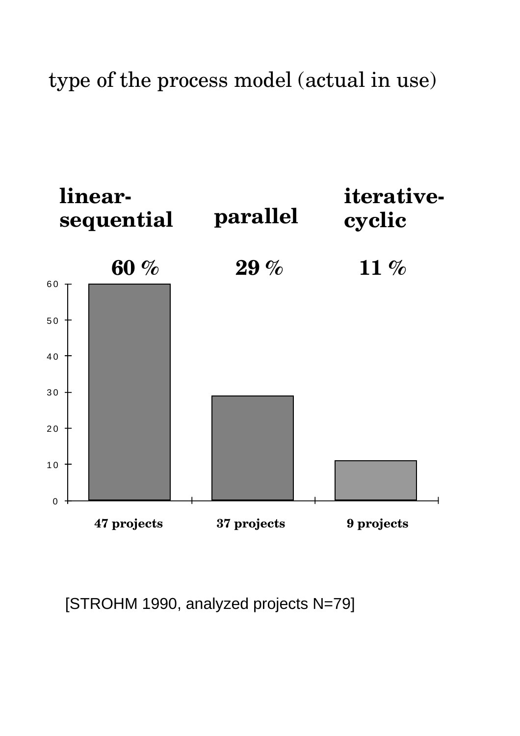type of the process model (actual in use)



[STROHM 1990, analyzed projects N=79]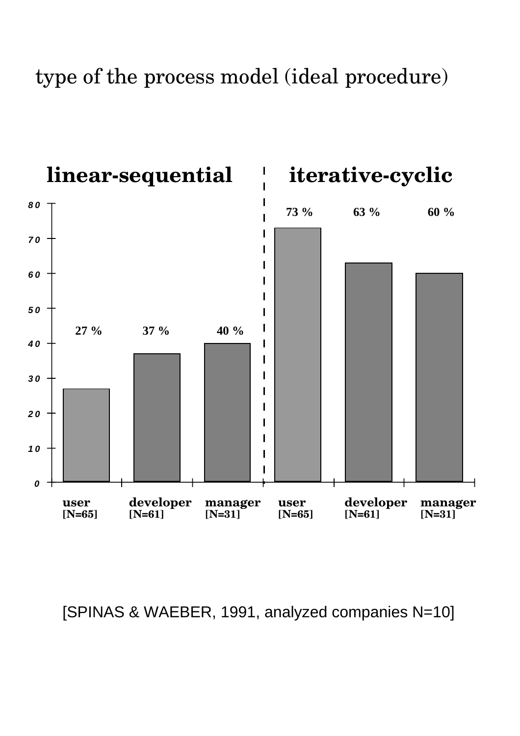type of the process model (ideal procedure)



[SPINAS & WAEBER, 1991, analyzed companies N=10]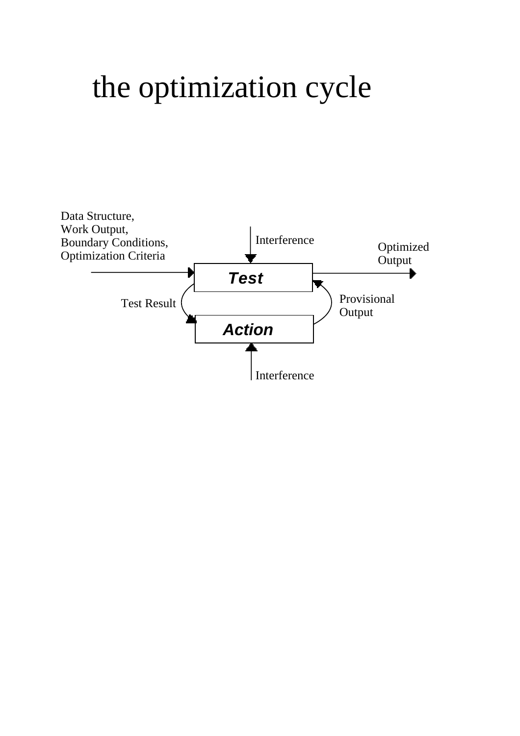# the optimization cycle

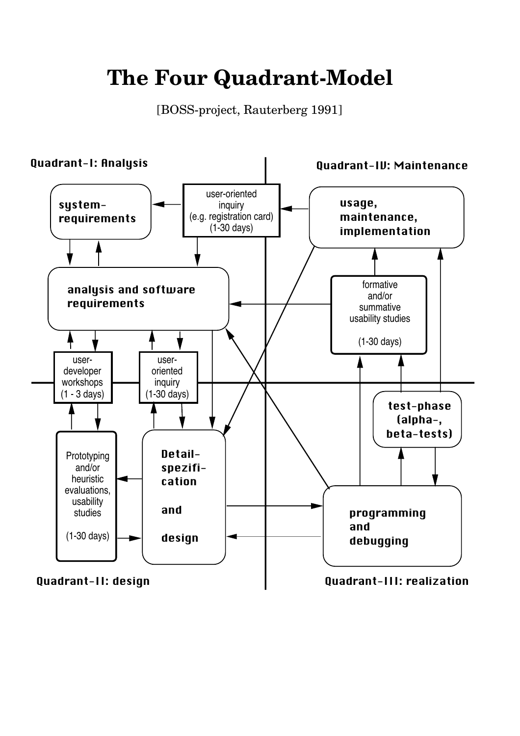## **The Four Quadrant-Model**

[BOSS-project, Rauterberg 1991]

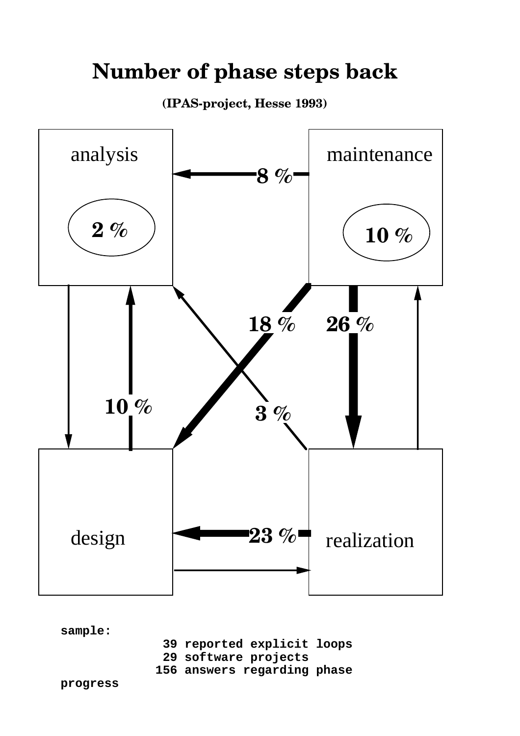#### **Number of phase steps back**

**(IPAS-project, Hesse 1993)**



**sample:**

- **39 reported explicit loops**
- **29 software projects**
- **156 answers regarding phase**

**progress**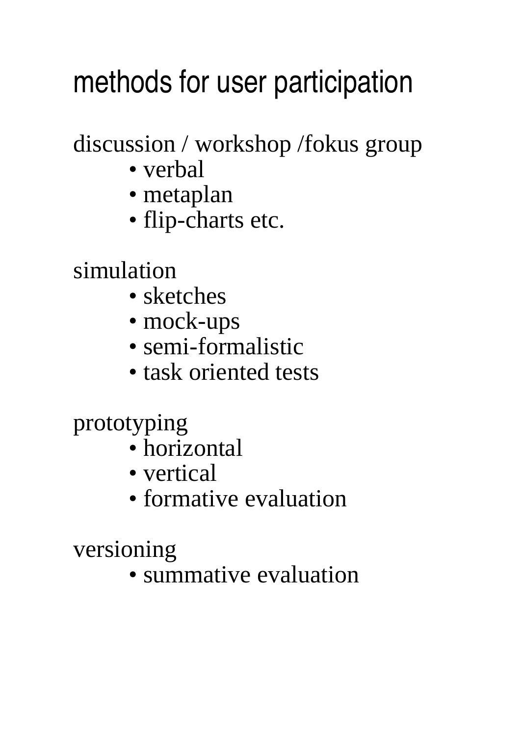# methods for user participation

discussion / workshop /fokus group

- verbal
- metaplan
- flip-charts etc.

simulation

- sketches
- mock-ups
- semi-formalistic
- task oriented tests

prototyping

- horizontal
- vertical
- formative evaluation

versioning

• summative evaluation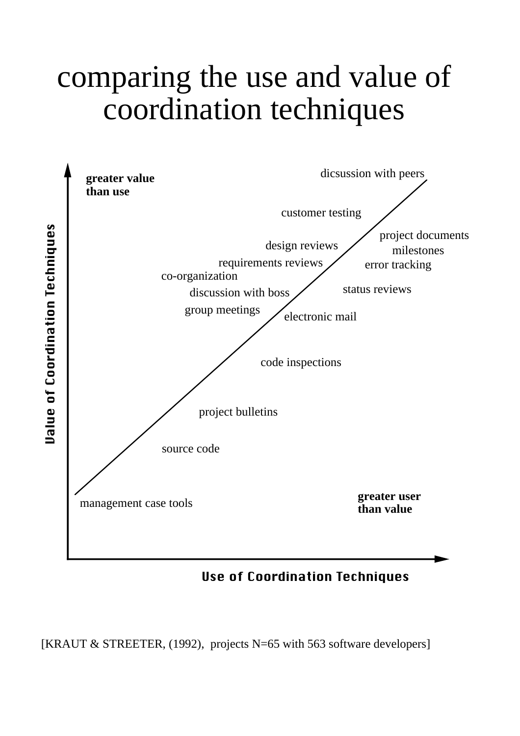# comparing the use and value of coordination techniques



Use of Coordination Techniques

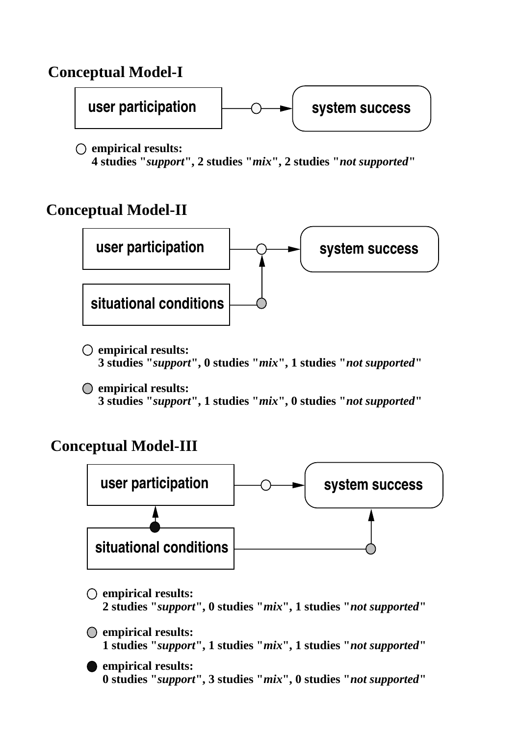#### **Conceptual Model-I**



**empirical results: 4 studies "***support***", 2 studies "***mix***", 2 studies "***not supported***"**

#### **Conceptual Model-II**



**empirical results: 3 studies "***support***", 0 studies "***mix***", 1 studies "***not supported***"**

**empirical results: 3 studies "***support***", 1 studies "***mix***", 0 studies "***not supported***"**

#### **Conceptual Model-III**



**empirical results: 2 studies "***support***", 0 studies "***mix***", 1 studies "***not supported***"**

**empirical results: 1 studies "***support***", 1 studies "***mix***", 1 studies "***not supported***"**

**empirical results: 0 studies "***support***", 3 studies "***mix***", 0 studies "***not supported***"**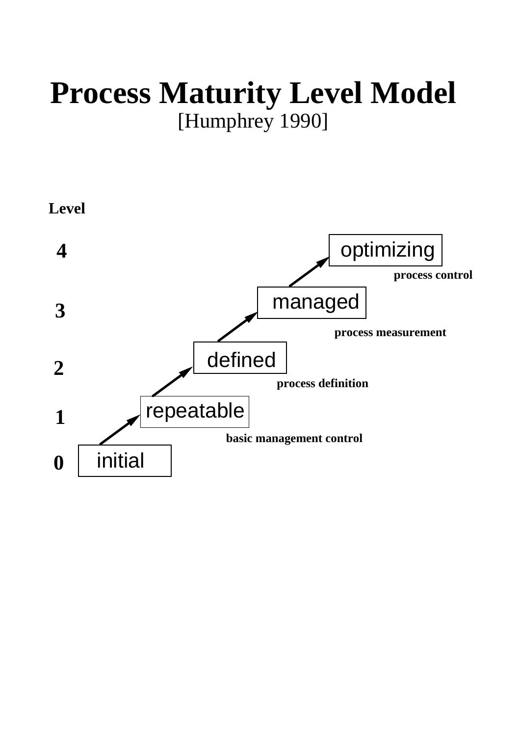# **Process Maturity Level Model**  [Humphrey 1990]

**Level**

initial repeatable defined managed optimizing **0 1 2 3 4 process measurement process definition basic management control process control**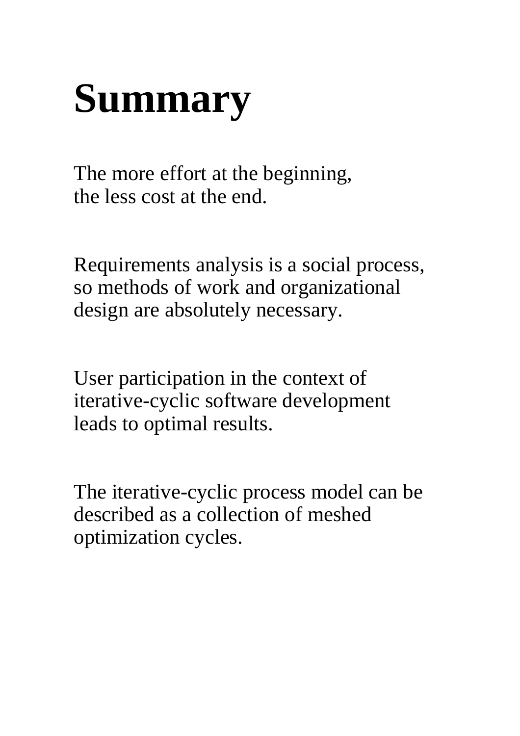# **Summary**

The more effort at the beginning, the less cost at the end.

Requirements analysis is a social process, so methods of work and organizational design are absolutely necessary.

User participation in the context of iterative-cyclic software development leads to optimal results.

The iterative-cyclic process model can be described as a collection of meshed optimization cycles.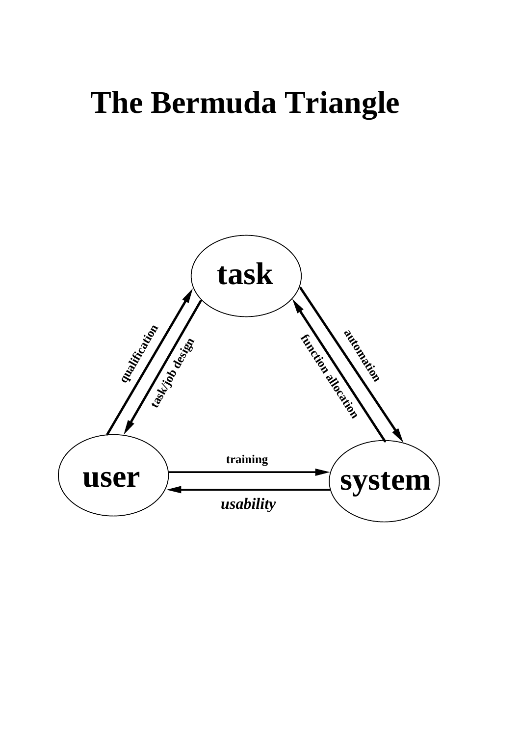# **The Bermuda Triangle**

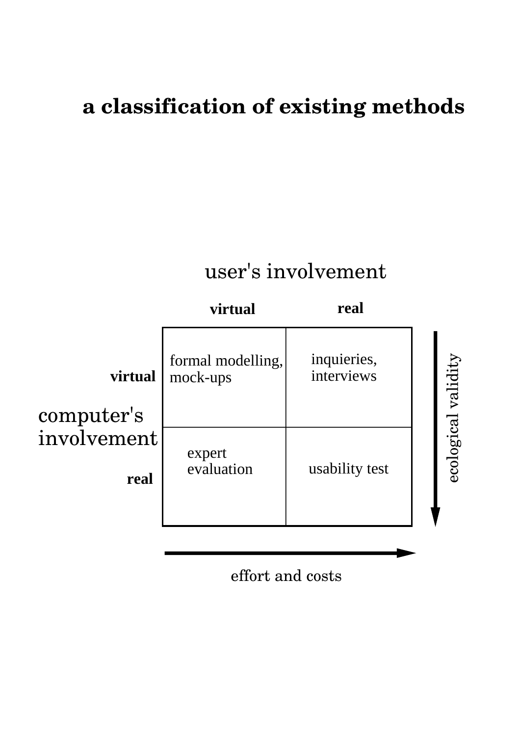### **a classification of existing methods**

## user's involvement



effort and costs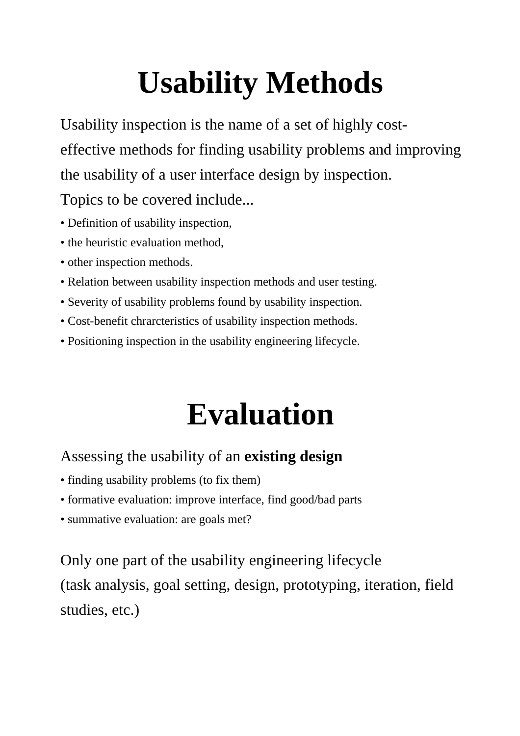# **Usability Methods**

Usability inspection is the name of a set of highly costeffective methods for finding usability problems and improving the usability of a user interface design by inspection.

Topics to be covered include...

- Definition of usability inspection,
- the heuristic evaluation method.
- other inspection methods.
- Relation between usability inspection methods and user testing.
- Severity of usability problems found by usability inspection.
- Cost-benefit chrarcteristics of usability inspection methods.
- Positioning inspection in the usability engineering lifecycle.

# **Evaluation**

#### Assessing the usability of an **existing design**

- finding usability problems (to fix them)
- formative evaluation: improve interface, find good/bad parts
- summative evaluation: are goals met?

Only one part of the usability engineering lifecycle (task analysis, goal setting, design, prototyping, iteration, field studies, etc.)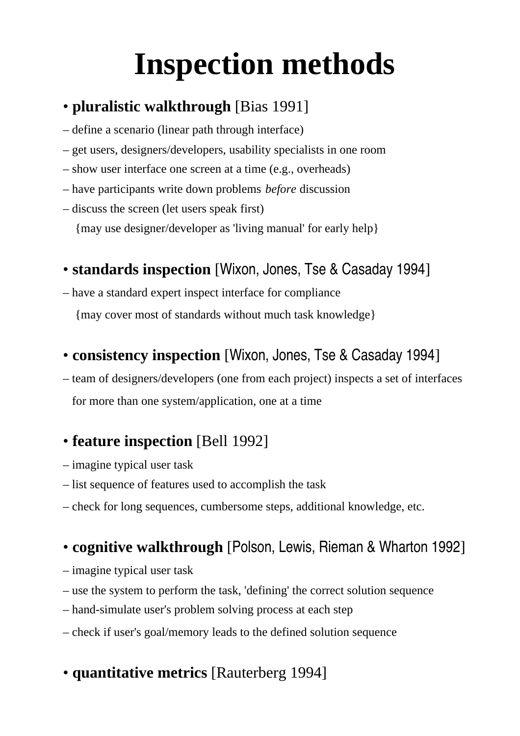# **Inspection methods**

#### • **pluralistic walkthrough** [Bias 1991]

- define a scenario (linear path through interface)
- get users, designers/developers, usability specialists in one room
- show user interface one screen at a time (e.g., overheads)
- have participants write down problems *before* discussion
- discuss the screen (let users speak first) {may use designer/developer as 'living manual' for early help}

#### • **standards inspection** [Wixon, Jones, Tse & Casaday 1994]

– have a standard expert inspect interface for compliance {may cover most of standards without much task knowledge}

#### • **consistency inspection** [Wixon, Jones, Tse & Casaday 1994]

– team of designers/developers (one from each project) inspects a set of interfaces for more than one system/application, one at a time

#### • **feature inspection** [Bell 1992]

- imagine typical user task
- list sequence of features used to accomplish the task
- check for long sequences, cumbersome steps, additional knowledge, etc.

#### • **cognitive walkthrough** [Polson, Lewis, Rieman & Wharton 1992]

- imagine typical user task
- use the system to perform the task, 'defining' the correct solution sequence
- hand-simulate user's problem solving process at each step
- check if user's goal/memory leads to the defined solution sequence

#### • **quantitative metrics** [Rauterberg 1994]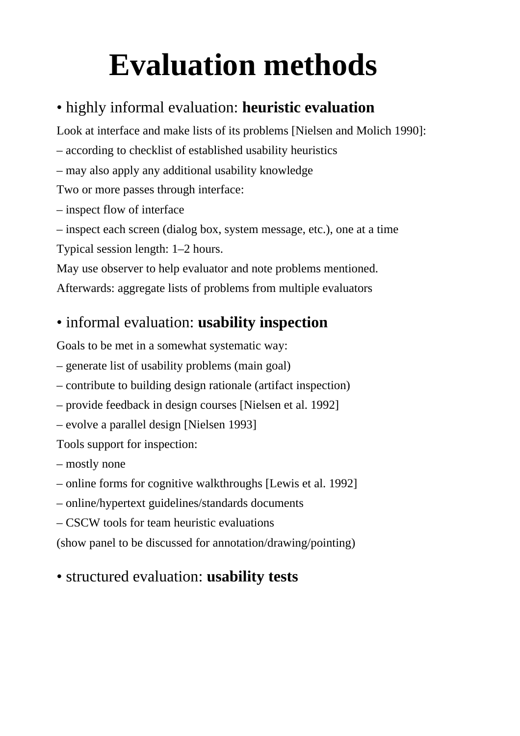# **Evaluation methods**

#### • highly informal evaluation: **heuristic evaluation**

Look at interface and make lists of its problems [Nielsen and Molich 1990]:

– according to checklist of established usability heuristics

– may also apply any additional usability knowledge

Two or more passes through interface:

– inspect flow of interface

– inspect each screen (dialog box, system message, etc.), one at a time

Typical session length: 1–2 hours.

May use observer to help evaluator and note problems mentioned.

Afterwards: aggregate lists of problems from multiple evaluators

#### • informal evaluation: **usability inspection**

Goals to be met in a somewhat systematic way:

– generate list of usability problems (main goal)

- contribute to building design rationale (artifact inspection)
- provide feedback in design courses [Nielsen et al. 1992]
- evolve a parallel design [Nielsen 1993]

Tools support for inspection:

– mostly none

- online forms for cognitive walkthroughs [Lewis et al. 1992]
- online/hypertext guidelines/standards documents
- CSCW tools for team heuristic evaluations

(show panel to be discussed for annotation/drawing/pointing)

#### • structured evaluation: **usability tests**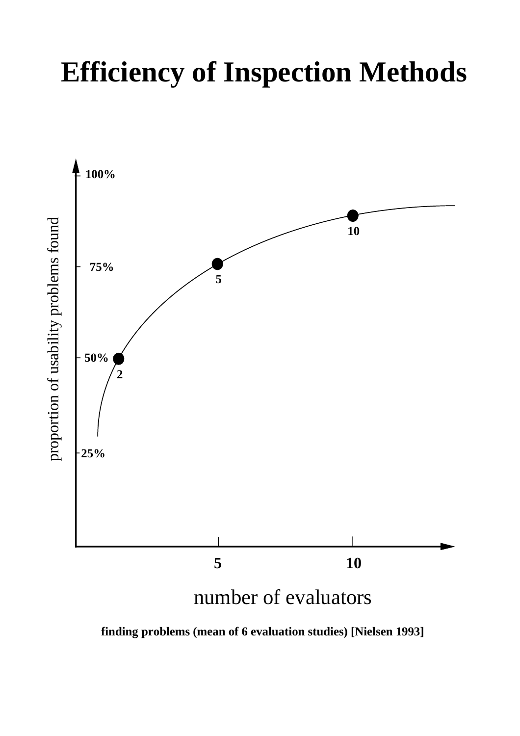# **Efficiency of Inspection Methods**



**finding problems (mean of 6 evaluation studies) [Nielsen 1993]**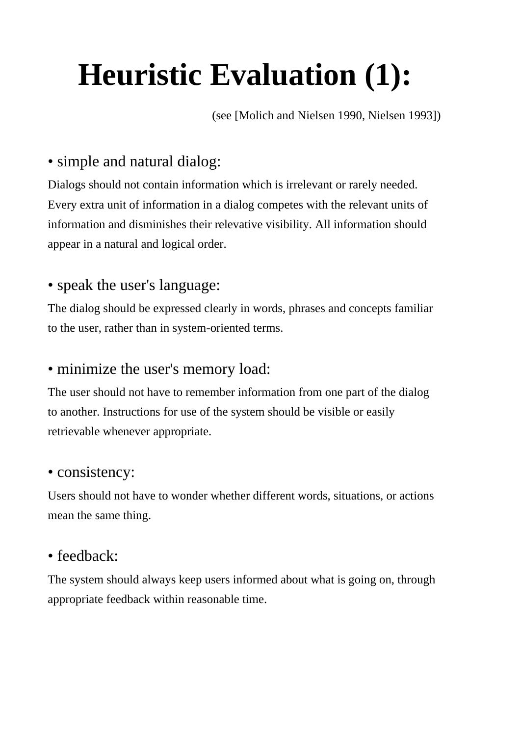# **Heuristic Evaluation (1):**

(see [Molich and Nielsen 1990, Nielsen 1993])

#### • simple and natural dialog:

Dialogs should not contain information which is irrelevant or rarely needed. Every extra unit of information in a dialog competes with the relevant units of information and disminishes their relevative visibility. All information should appear in a natural and logical order.

#### • speak the user's language:

The dialog should be expressed clearly in words, phrases and concepts familiar to the user, rather than in system-oriented terms.

#### • minimize the user's memory load:

The user should not have to remember information from one part of the dialog to another. Instructions for use of the system should be visible or easily retrievable whenever appropriate.

#### • consistency:

Users should not have to wonder whether different words, situations, or actions mean the same thing.

#### • feedback:

The system should always keep users informed about what is going on, through appropriate feedback within reasonable time.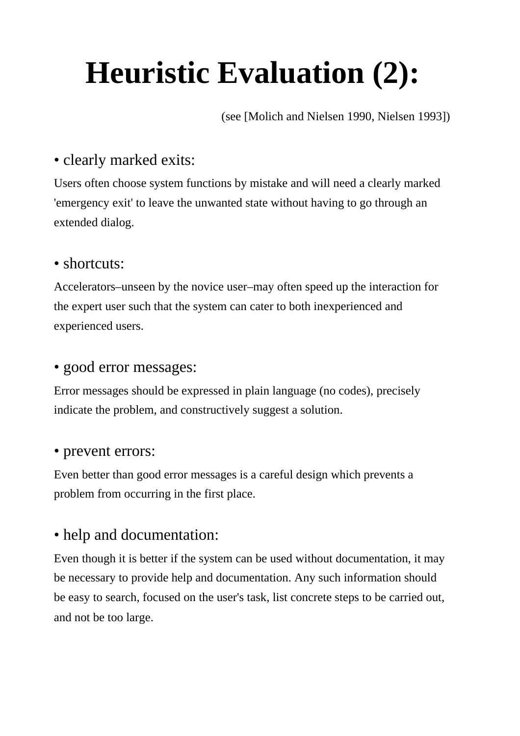# **Heuristic Evaluation (2):**

(see [Molich and Nielsen 1990, Nielsen 1993])

#### • clearly marked exits:

Users often choose system functions by mistake and will need a clearly marked 'emergency exit' to leave the unwanted state without having to go through an extended dialog.

#### • shortcuts:

Accelerators–unseen by the novice user–may often speed up the interaction for the expert user such that the system can cater to both inexperienced and experienced users.

#### • good error messages:

Error messages should be expressed in plain language (no codes), precisely indicate the problem, and constructively suggest a solution.

#### • prevent errors:

Even better than good error messages is a careful design which prevents a problem from occurring in the first place.

#### • help and documentation:

Even though it is better if the system can be used without documentation, it may be necessary to provide help and documentation. Any such information should be easy to search, focused on the user's task, list concrete steps to be carried out, and not be too large.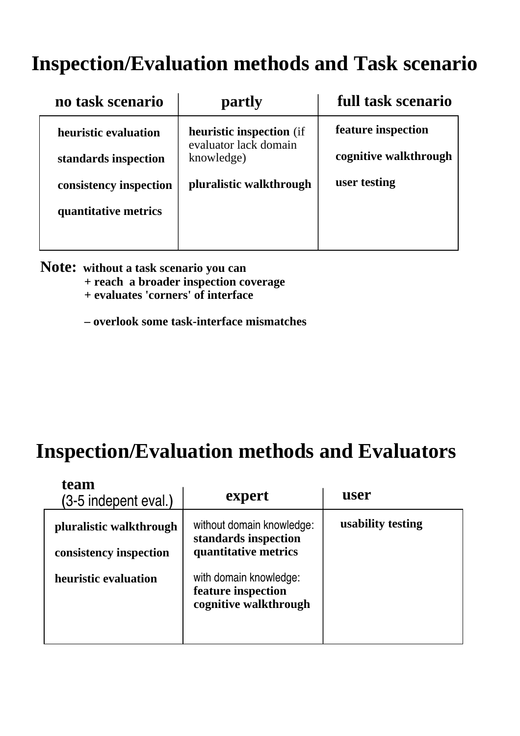### **Inspection/Evaluation methods and Task scenario**

| no task scenario       | partly                                                                 | full task scenario    |
|------------------------|------------------------------------------------------------------------|-----------------------|
| heuristic evaluation   | <b>heuristic inspection</b> (if<br>evaluator lack domain<br>knowledge) | feature inspection    |
| standards inspection   |                                                                        | cognitive walkthrough |
| consistency inspection | pluralistic walkthrough                                                | user testing          |
| quantitative metrics   |                                                                        |                       |
|                        |                                                                        |                       |

**Note: without a task scenario you can** 

- **+ reach a broader inspection coverage**
- **+ evaluates 'corners' of interface**
- **overlook some task-interface mismatches**

#### **Inspection/Evaluation methods and Evaluators**

| team<br>(3-5 indepent eval.)                      | expert                                                                    | user              |
|---------------------------------------------------|---------------------------------------------------------------------------|-------------------|
| pluralistic walkthrough<br>consistency inspection | without domain knowledge:<br>standards inspection<br>quantitative metrics | usability testing |
| heuristic evaluation                              | with domain knowledge:<br>feature inspection<br>cognitive walkthrough     |                   |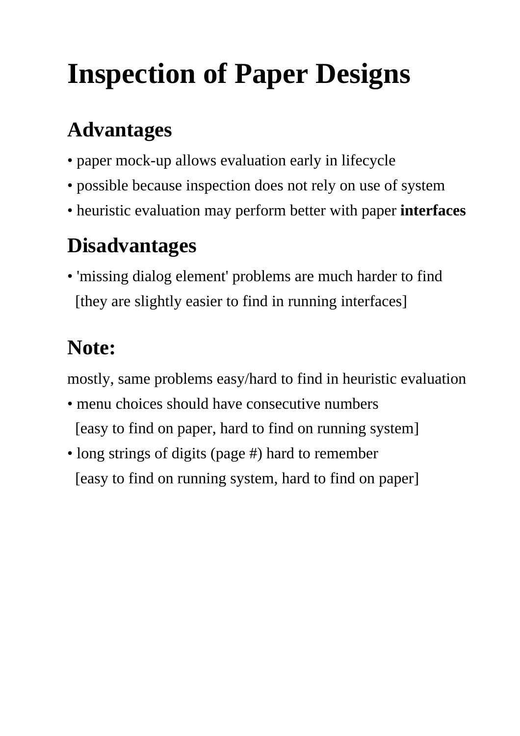# **Inspection of Paper Designs**

## **Advantages**

- paper mock-up allows evaluation early in lifecycle
- possible because inspection does not rely on use of system
- heuristic evaluation may perform better with paper **interfaces**

## **Disadvantages**

• 'missing dialog element' problems are much harder to find [they are slightly easier to find in running interfaces]

# **Note:**

mostly, same problems easy/hard to find in heuristic evaluation

- menu choices should have consecutive numbers [easy to find on paper, hard to find on running system]
- long strings of digits (page #) hard to remember [easy to find on running system, hard to find on paper]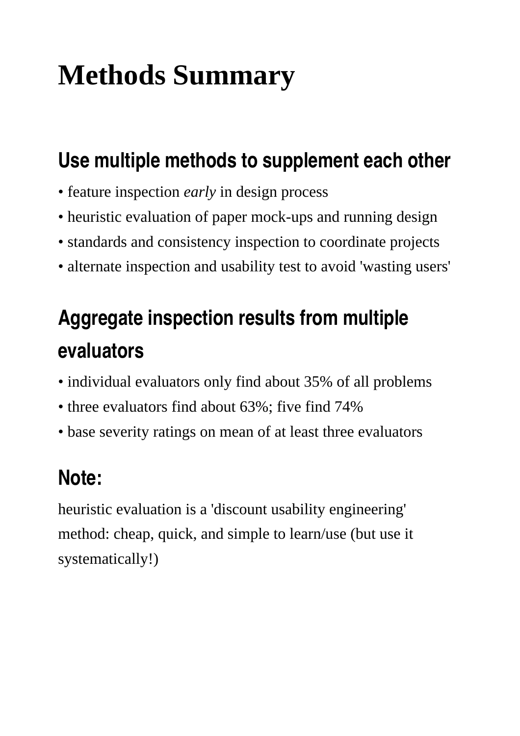# **Methods Summary**

### **Use multiple methods to supplement each other**

- feature inspection *early* in design process
- heuristic evaluation of paper mock-ups and running design
- standards and consistency inspection to coordinate projects
- alternate inspection and usability test to avoid 'wasting users'

# **Aggregate inspection results from multiple evaluators**

- individual evaluators only find about 35% of all problems
- three evaluators find about 63%; five find 74%
- base severity ratings on mean of at least three evaluators

## **Note:**

heuristic evaluation is a 'discount usability engineering' method: cheap, quick, and simple to learn/use (but use it systematically!)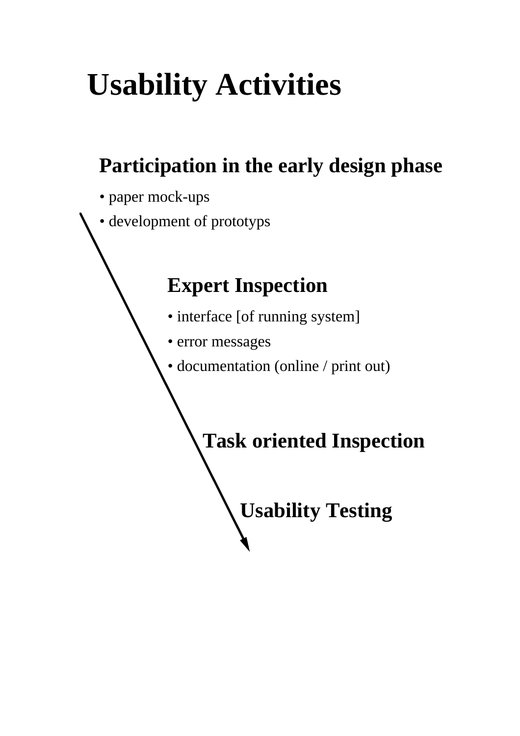# **Usability Activities**

## **Participation in the early design phase**

- paper mock-ups
- development of prototyps

### **Expert Inspection**

- interface [of running system]
- error messages
- documentation (online / print out)

**Task oriented Inspection**

**Usability Testing**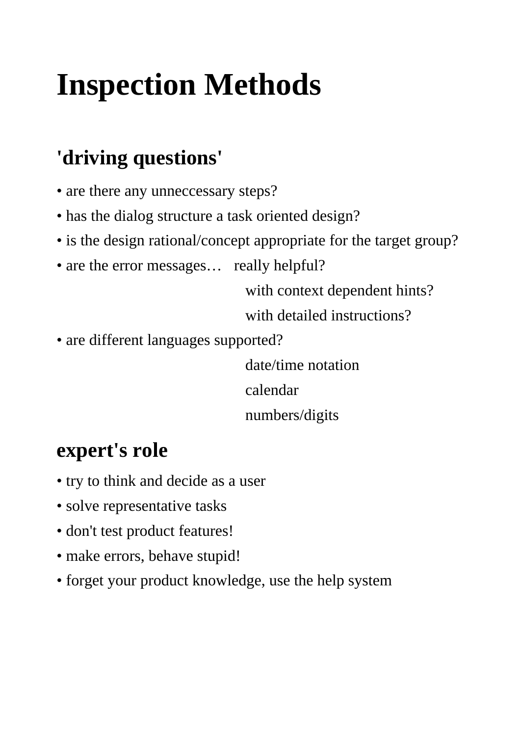# **Inspection Methods**

## **'driving questions'**

- are there any unneccessary steps?
- has the dialog structure a task oriented design?
- is the design rational/concept appropriate for the target group?
- are the error messages... really helpful?

 with context dependent hints?

 with detailed instructions?

• are different languages supported?

 date/time notation

 calendar

 numbers/digits

### **expert's role**

- try to think and decide as a user
- solve representative tasks
- don't test product features!
- make errors, behave stupid!
- forget your product knowledge, use the help system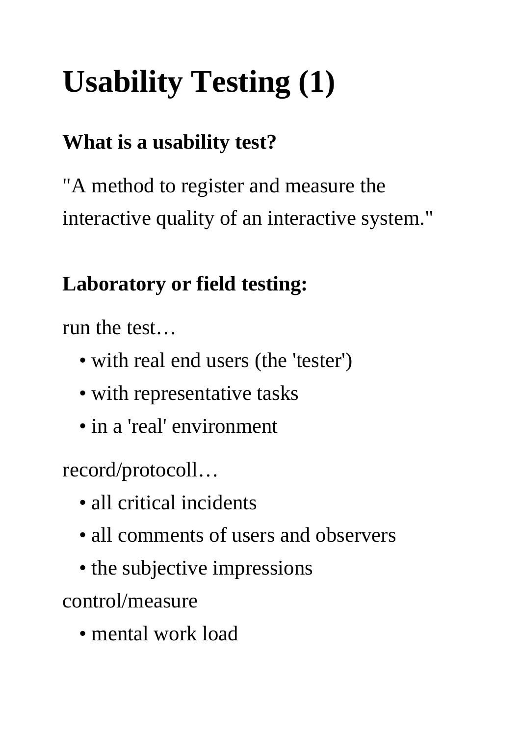# **Usability Testing (1)**

## **What is a usability test?**

"A method to register and measure the interactive quality of an interactive system."

### **Laboratory or field testing:**

run the test…

- with real end users (the 'tester')
- with representative tasks
- in a 'real' environment

record/protocoll…

- all critical incidents
- all comments of users and observers
- the subjective impressions

control/measure

• mental work load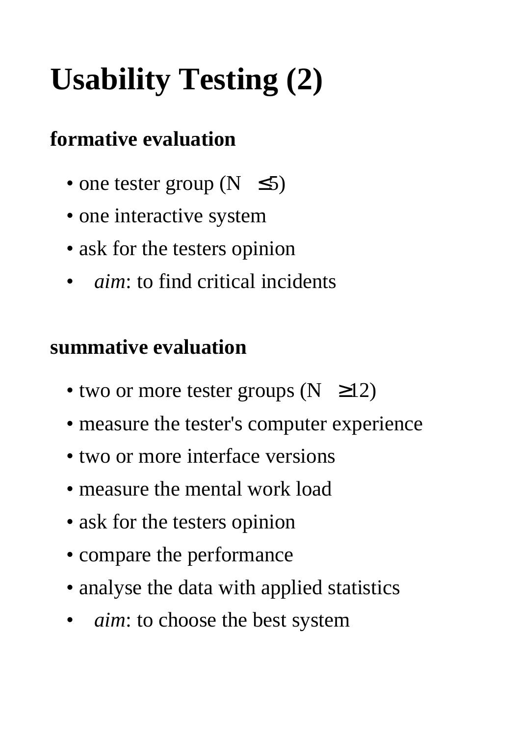# **Usability Testing (2)**

### **formative evaluation**

- one tester group ( $N \le 5$ )
- one interactive system
- ask for the testers opinion
- *aim*: to find critical incidents

#### **summative evaluation**

- two or more tester groups  $(N \geq 12)$
- measure the tester's computer experience
- two or more interface versions
- measure the mental work load
- ask for the testers opinion
- compare the performance
- analyse the data with applied statistics
- *aim*: to choose the best system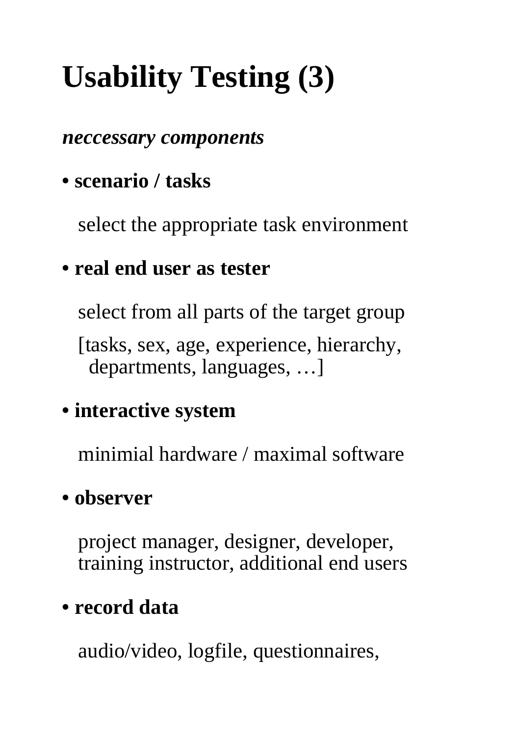# **Usability Testing (3)**

#### *neccessary components*

### **• scenario / tasks**

 select the appropriate task environment

#### **• real end user as tester**

 select from all parts of the target group

 [tasks, sex, age, experience, hierarchy, departments, languages, …]

### **• interactive system**

 minimial hardware / maximal software

#### **• observer**

 project manager, designer, developer, training instructor, additional end users

### **• record data**

 audio/video, logfile, questionnaires,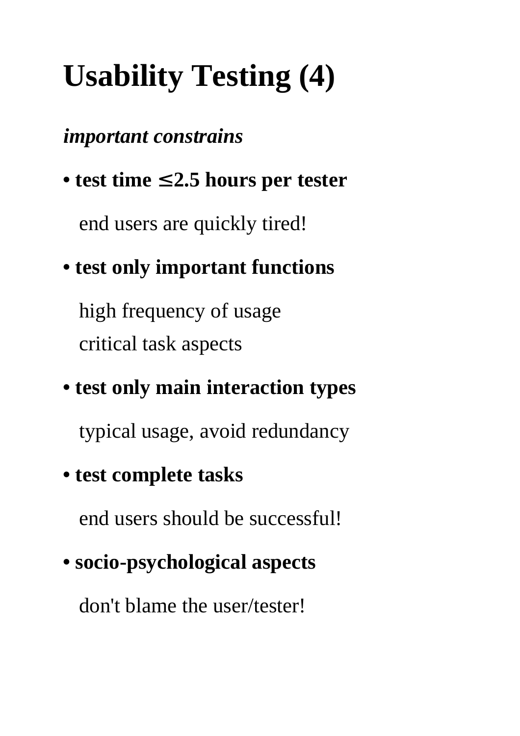# **Usability Testing (4)**

#### *important constrains*

**• test time** ≤ **2.5 hours per tester**

 end users are quickly tired!

## **• test only important functions**

 high frequency of usage critical task aspects

## **• test only main interaction types**

 typical usage, avoid redundancy

### **• test complete tasks**

 end users should be successful!

## **• socio-psychological aspects**

 don't blame the user/tester!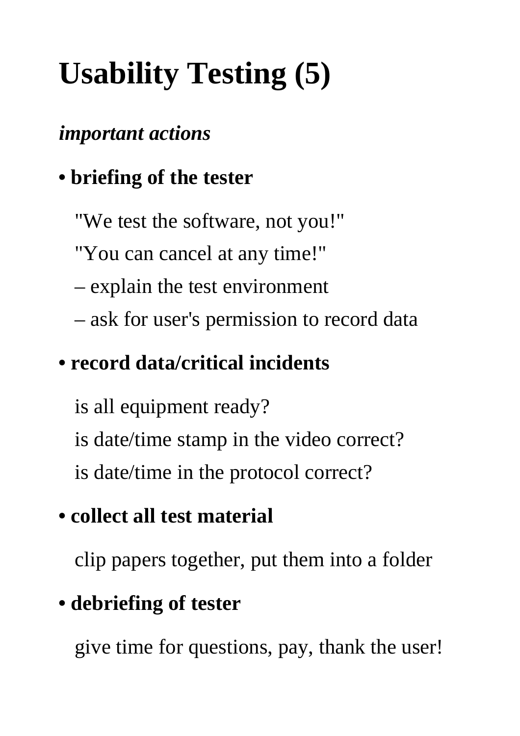# **Usability Testing (5)**

### *important actions*

## **• briefing of the tester**

- "We test the software, not you!"
- "You can cancel at any time!"
- explain the test environment
- ask for user's permission to record data

## **• record data/critical incidents**

- is all equipment ready?
- is date/time stamp in the video correct?
- is date/time in the protocol correct?

## **• collect all test material**

 clip papers together, put them into a folder

## **• debriefing of tester**

 give time for questions, pay, thank the user!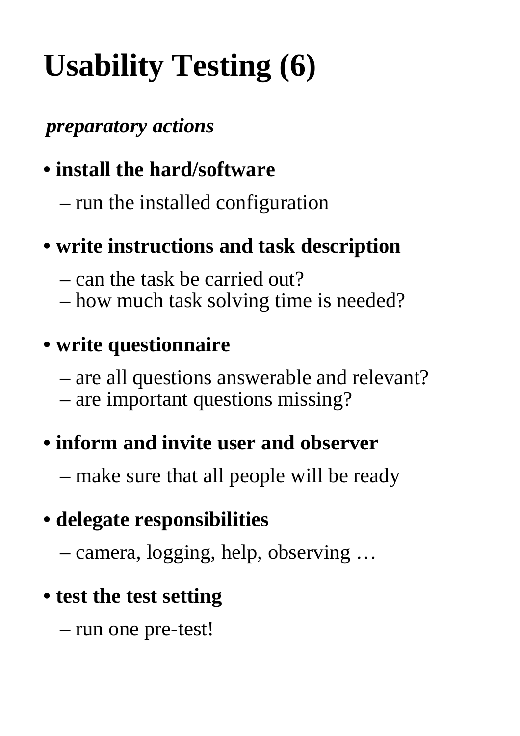# **Usability Testing (6)**

### *preparatory actions*

## **• install the hard/software**

 – run the installed configuration

## **• write instructions and task description**

- can the task be carried out?
- how much task solving time is needed?

### **• write questionnaire**

- are all questions answerable and relevant?
- are important questions missing?

### **• inform and invite user and observer**

 – make sure that all people will be ready

## **• delegate responsibilities**

 – camera, logging, help, observing …

### **• test the test setting**

 – run one pre-test!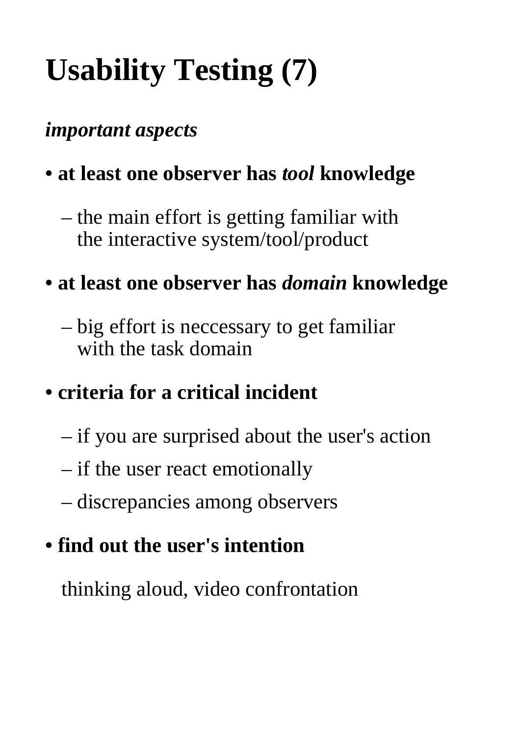# **Usability Testing (7)**

### *important aspects*

## **• at least one observer has** *tool* **knowledge**

 – the main effort is getting familiar with the interactive system/tool/product

#### **• at least one observer has** *domain* **knowledge**

 – big effort is neccessary to get familiar with the task domain

### **• criteria for a critical incident**

- if you are surprised about the user's action
- if the user react emotionally
- discrepancies among observers

### **• find out the user's intention**

 thinking aloud, video confrontation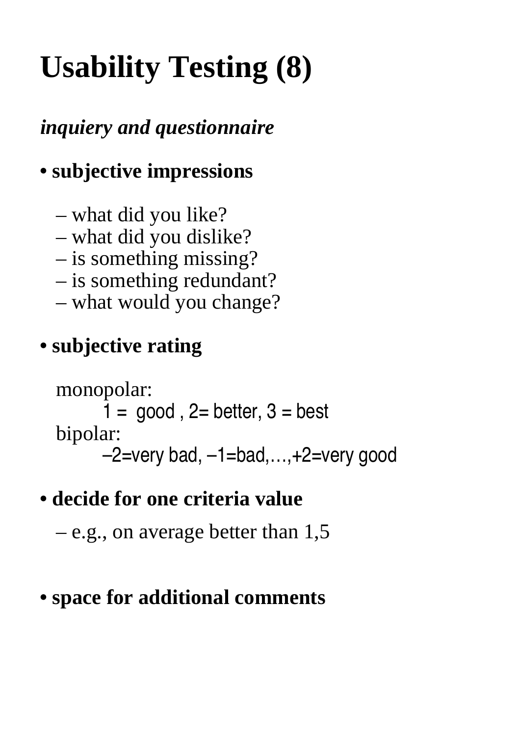# **Usability Testing (8)**

*inquiery and questionnaire*

## **• subjective impressions**

- what did you like?
- what did you dislike?
- is something missing?
- is something redundant?
- what would you change?

### **• subjective rating**

 monopolar:  $1 = \text{good}$ ,  $2 = \text{better}$ ,  $3 = \text{best}$  bipolar: –2=very bad, –1=bad,…,+2=very good

### **• decide for one criteria value**

 – e.g., on average better than 1,5

### **• space for additional comments**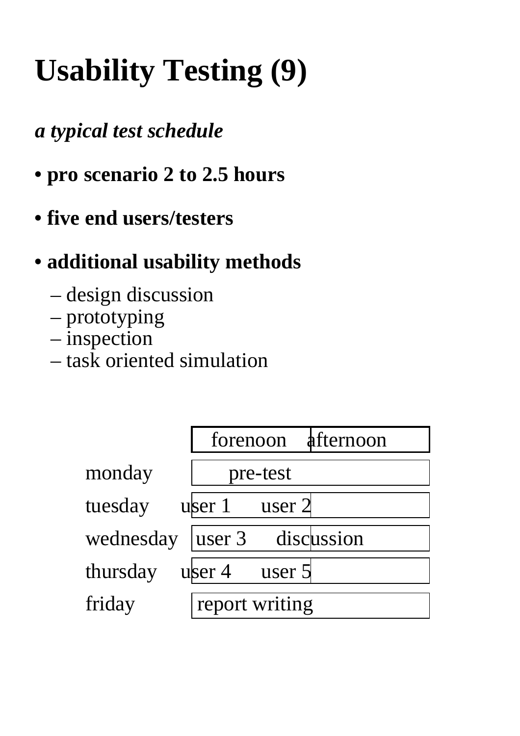# **Usability Testing (9)**

## *a typical test schedule*

- **pro scenario 2 to 2.5 hours**
- **five end users/testers**

## **• additional usability methods**

- design discussion
- prototyping
- inspection
- task oriented simulation

|           | forenoon       | afternoon  |
|-----------|----------------|------------|
| monday    | pre-test       |            |
| tuesday   | user 1         | user $2$   |
| wednesday | user 3         | discussion |
| thursday  | user $4$       | user 5     |
| friday    | report writing |            |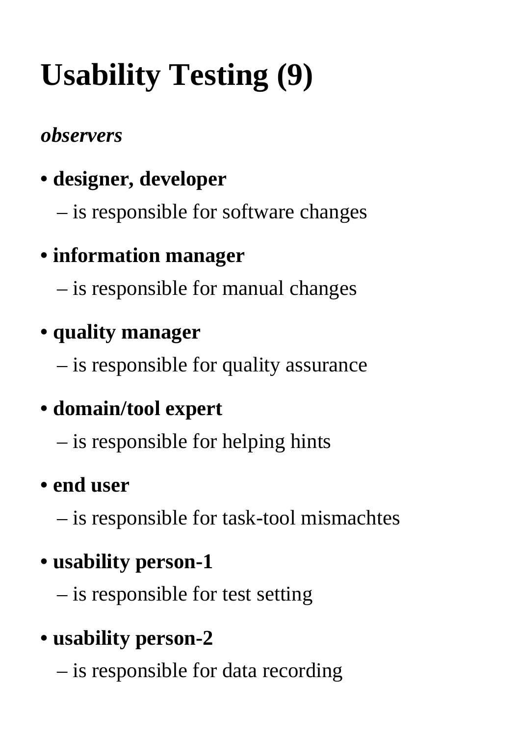# **Usability Testing (9)**

## *observers*

- **designer, developer**
	- is responsible for software changes

# **• information manager**

 – is responsible for manual changes

## **• quality manager**

 – is responsible for quality assurance

# **• domain/tool expert**

 – is responsible for helping hints

## **• end user**

 – is responsible for task-tool mismachtes

## **• usability person-1**

 – is responsible for test setting

## **• usability person-2**

 – is responsible for data recording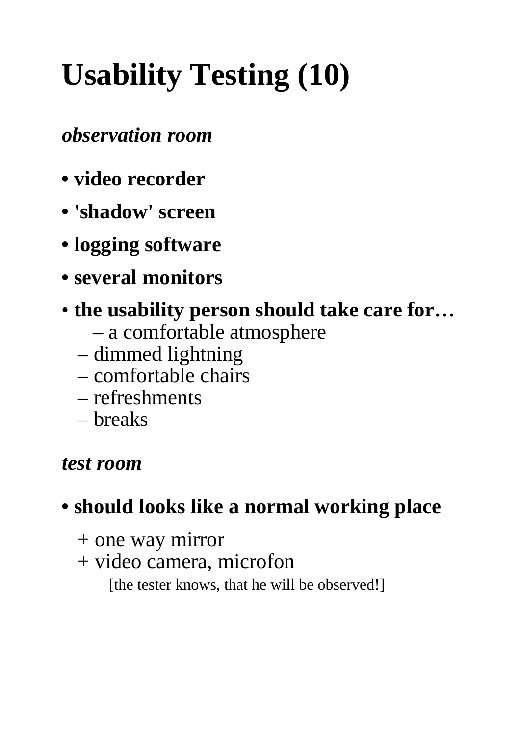# **Usability Testing (10)**

#### *observation room*

- **video recorder**
- **'shadow' screen**
- **logging software**
- **several monitors**
- **the usability person should take care for…**
	- a comfortable atmosphere
	- dimmed lightning
	- comfortable chairs
	- refreshments
	- breaks

#### *test room*

### **• should looks like a normal working place**

- + one way mirror
- + video camera, microfon

[the tester knows, that he will be observed!]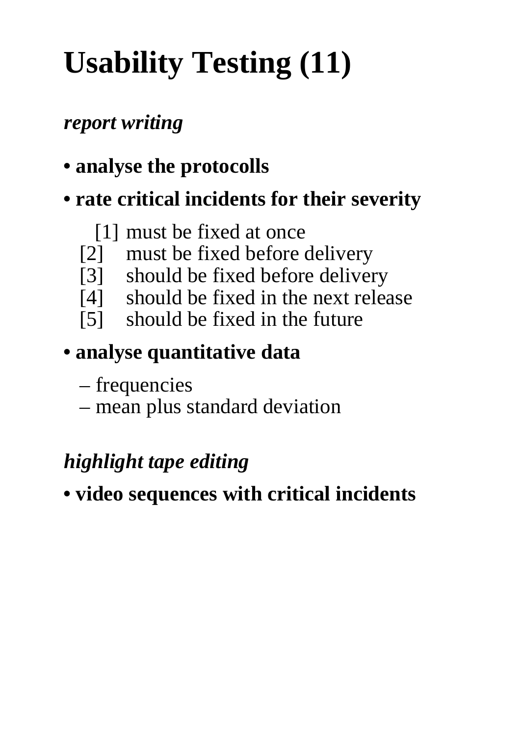# **Usability Testing (11)**

### *report writing*

**• analyse the protocolls**

## **• rate critical incidents for their severity**

#### [1] must be fixed at once

- [2] must be fixed before delivery
- [3] should be fixed before delivery
- [4] should be fixed in the next release
- [5] should be fixed in the future

## **• analyse quantitative data**

- – frequencies
- mean plus standard deviation

## *highlight tape editing*

**• video sequences with critical incidents**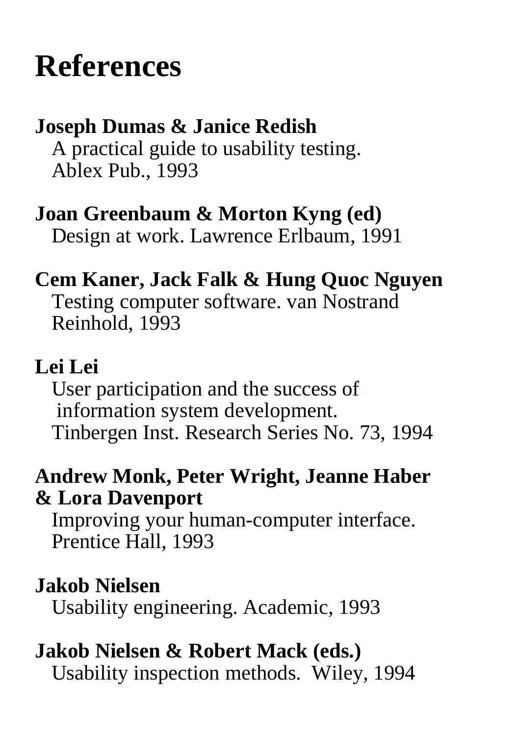# **References**

#### **Joseph Dumas & Janice Redish**

 A practical guide to usability testing. Ablex Pub., 1993

#### **Joan Greenbaum & Morton Kyng (ed)**

 Design at work. Lawrence Erlbaum, 1991

#### **Cem Kaner, Jack Falk & Hung Quoc Nguyen**

 Testing computer software. van Nostrand Reinhold, 1993

#### **Lei Lei**

 User participation and the success of information system development. Tinbergen Inst. Research Series No. 73, 1994

#### **Andrew Monk, Peter Wright, Jeanne Haber & Lora Davenport**

 Improving your human-computer interface. Prentice Hall, 1993

#### **Jakob Nielsen**

 Usability engineering. Academic, 1993

### **Jakob Nielsen & Robert Mack (eds.)**

 Usability inspection methods. Wiley, 1994